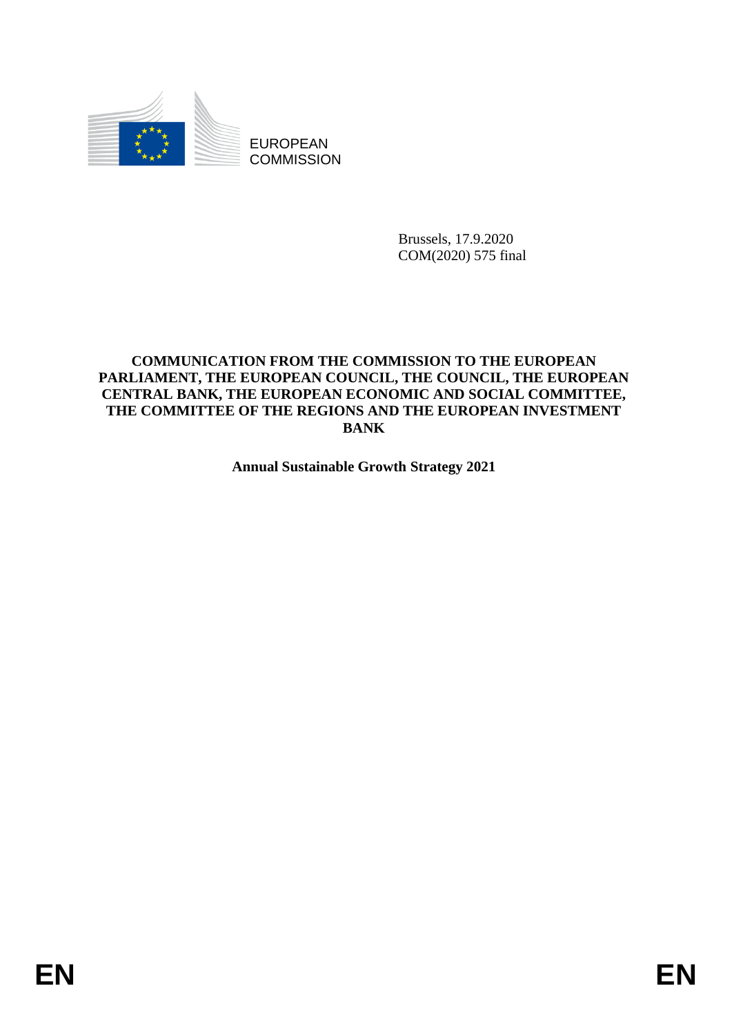

EUROPEAN **COMMISSION** 

> Brussels, 17.9.2020 COM(2020) 575 final

# **COMMUNICATION FROM THE COMMISSION TO THE EUROPEAN PARLIAMENT, THE EUROPEAN COUNCIL, THE COUNCIL, THE EUROPEAN CENTRAL BANK, THE EUROPEAN ECONOMIC AND SOCIAL COMMITTEE, THE COMMITTEE OF THE REGIONS AND THE EUROPEAN INVESTMENT BANK**

**Annual Sustainable Growth Strategy 2021**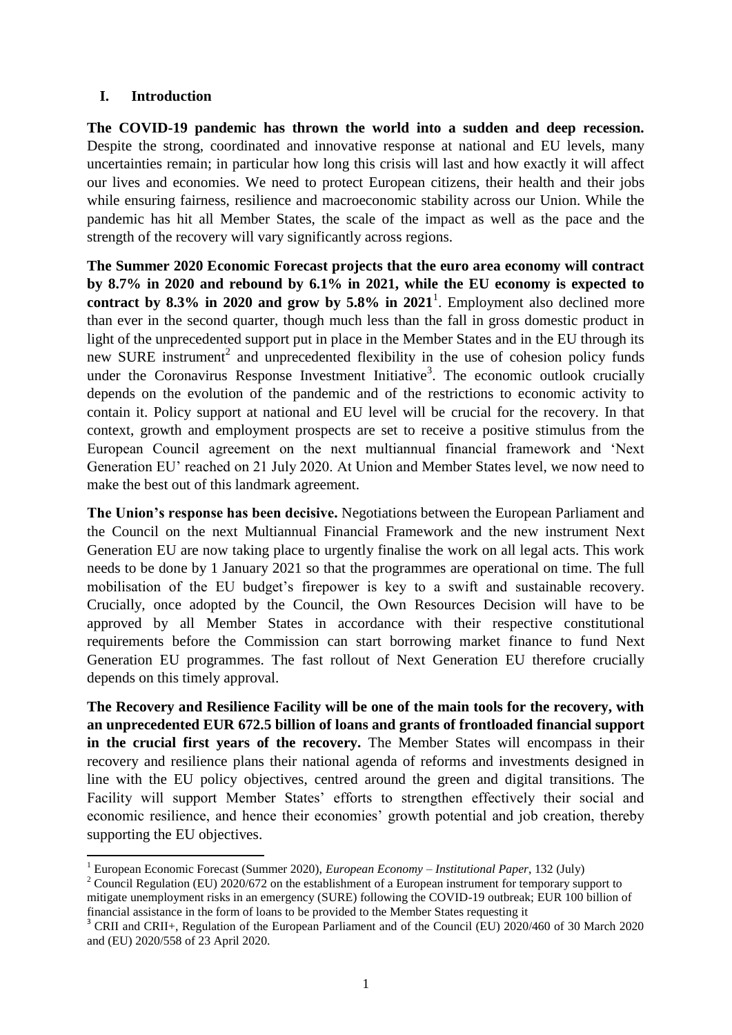#### **I. Introduction**

**.** 

**The COVID-19 pandemic has thrown the world into a sudden and deep recession.** Despite the strong, coordinated and innovative response at national and EU levels, many uncertainties remain; in particular how long this crisis will last and how exactly it will affect our lives and economies. We need to protect European citizens, their health and their jobs while ensuring fairness, resilience and macroeconomic stability across our Union. While the pandemic has hit all Member States, the scale of the impact as well as the pace and the strength of the recovery will vary significantly across regions.

**The Summer 2020 Economic Forecast projects that the euro area economy will contract by 8.7% in 2020 and rebound by 6.1% in 2021, while the EU economy is expected to**  contract by  $8.3\%$  in 2020 and grow by  $5.8\%$  in  $2021<sup>1</sup>$ . Employment also declined more than ever in the second quarter, though much less than the fall in gross domestic product in light of the unprecedented support put in place in the Member States and in the EU through its new SURE instrument<sup>2</sup> and unprecedented flexibility in the use of cohesion policy funds under the Coronavirus Response Investment Initiative<sup>3</sup>. The economic outlook crucially depends on the evolution of the pandemic and of the restrictions to economic activity to contain it. Policy support at national and EU level will be crucial for the recovery. In that context, growth and employment prospects are set to receive a positive stimulus from the European Council agreement on the next multiannual financial framework and 'Next Generation EU' reached on 21 July 2020. At Union and Member States level, we now need to make the best out of this landmark agreement.

**The Union's response has been decisive.** Negotiations between the European Parliament and the Council on the next Multiannual Financial Framework and the new instrument Next Generation EU are now taking place to urgently finalise the work on all legal acts. This work needs to be done by 1 January 2021 so that the programmes are operational on time. The full mobilisation of the EU budget's firepower is key to a swift and sustainable recovery. Crucially, once adopted by the Council, the Own Resources Decision will have to be approved by all Member States in accordance with their respective constitutional requirements before the Commission can start borrowing market finance to fund Next Generation EU programmes. The fast rollout of Next Generation EU therefore crucially depends on this timely approval.

**The Recovery and Resilience Facility will be one of the main tools for the recovery, with an unprecedented EUR 672.5 billion of loans and grants of frontloaded financial support in the crucial first years of the recovery.** The Member States will encompass in their recovery and resilience plans their national agenda of reforms and investments designed in line with the EU policy objectives, centred around the green and digital transitions. The Facility will support Member States' efforts to strengthen effectively their social and economic resilience, and hence their economies' growth potential and job creation, thereby supporting the EU objectives.

<sup>1</sup> European Economic Forecast (Summer 2020), *European Economy – Institutional Paper*, 132 (July)

<sup>&</sup>lt;sup>2</sup> Council Regulation (EU) 2020/672 on the establishment of a European instrument for temporary support to mitigate unemployment risks in an emergency (SURE) following the COVID-19 outbreak; EUR 100 billion of financial assistance in the form of loans to be provided to the Member States requesting it

<sup>&</sup>lt;sup>3</sup> CRII and CRII+, Regulation of the European Parliament and of the Council (EU) 2020/460 of 30 March 2020 and (EU) 2020/558 of 23 April 2020.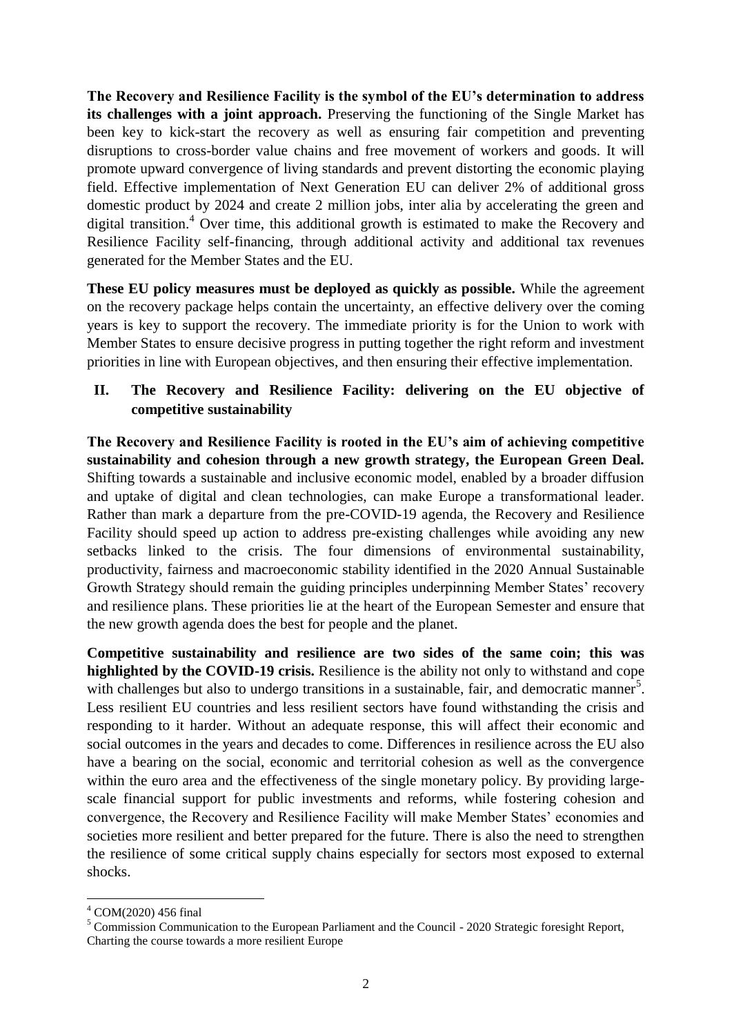**The Recovery and Resilience Facility is the symbol of the EU's determination to address**  its challenges with a joint approach. Preserving the functioning of the Single Market has been key to kick-start the recovery as well as ensuring fair competition and preventing disruptions to cross-border value chains and free movement of workers and goods. It will promote upward convergence of living standards and prevent distorting the economic playing field. Effective implementation of Next Generation EU can deliver 2% of additional gross domestic product by 2024 and create 2 million jobs, inter alia by accelerating the green and digital transition.<sup>4</sup> Over time, this additional growth is estimated to make the Recovery and Resilience Facility self-financing, through additional activity and additional tax revenues generated for the Member States and the EU.

**These EU policy measures must be deployed as quickly as possible.** While the agreement on the recovery package helps contain the uncertainty, an effective delivery over the coming years is key to support the recovery. The immediate priority is for the Union to work with Member States to ensure decisive progress in putting together the right reform and investment priorities in line with European objectives, and then ensuring their effective implementation.

# **II. The Recovery and Resilience Facility: delivering on the EU objective of competitive sustainability**

**The Recovery and Resilience Facility is rooted in the EU's aim of achieving competitive sustainability and cohesion through a new growth strategy, the European Green Deal.** Shifting towards a sustainable and inclusive economic model, enabled by a broader diffusion and uptake of digital and clean technologies, can make Europe a transformational leader. Rather than mark a departure from the pre-COVID-19 agenda, the Recovery and Resilience Facility should speed up action to address pre-existing challenges while avoiding any new setbacks linked to the crisis. The four dimensions of environmental sustainability, productivity, fairness and macroeconomic stability identified in the 2020 Annual Sustainable Growth Strategy should remain the guiding principles underpinning Member States' recovery and resilience plans. These priorities lie at the heart of the European Semester and ensure that the new growth agenda does the best for people and the planet.

**Competitive sustainability and resilience are two sides of the same coin; this was highlighted by the COVID-19 crisis.** Resilience is the ability not only to withstand and cope with challenges but also to undergo transitions in a sustainable, fair, and democratic manner<sup>5</sup>. Less resilient EU countries and less resilient sectors have found withstanding the crisis and responding to it harder. Without an adequate response, this will affect their economic and social outcomes in the years and decades to come. Differences in resilience across the EU also have a bearing on the social, economic and territorial cohesion as well as the convergence within the euro area and the effectiveness of the single monetary policy. By providing largescale financial support for public investments and reforms, while fostering cohesion and convergence, the Recovery and Resilience Facility will make Member States' economies and societies more resilient and better prepared for the future. There is also the need to strengthen the resilience of some critical supply chains especially for sectors most exposed to external shocks.

1

<sup>4</sup> COM(2020) 456 final

<sup>5</sup> Commission Communication to the European Parliament and the Council - 2020 Strategic foresight Report, Charting the course towards a more resilient Europe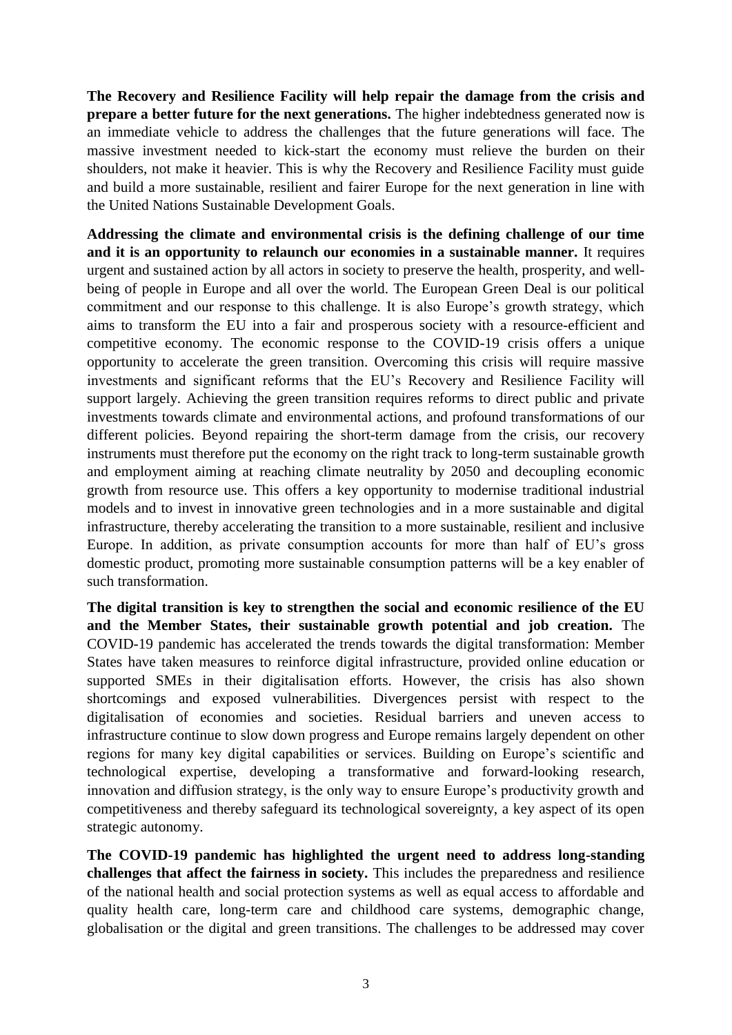**The Recovery and Resilience Facility will help repair the damage from the crisis and prepare a better future for the next generations.** The higher indebtedness generated now is an immediate vehicle to address the challenges that the future generations will face. The massive investment needed to kick-start the economy must relieve the burden on their shoulders, not make it heavier. This is why the Recovery and Resilience Facility must guide and build a more sustainable, resilient and fairer Europe for the next generation in line with the United Nations Sustainable Development Goals.

**Addressing the climate and environmental crisis is the defining challenge of our time and it is an opportunity to relaunch our economies in a sustainable manner.** It requires urgent and sustained action by all actors in society to preserve the health, prosperity, and wellbeing of people in Europe and all over the world. The European Green Deal is our political commitment and our response to this challenge. It is also Europe's growth strategy, which aims to transform the EU into a fair and prosperous society with a resource-efficient and competitive economy. The economic response to the COVID-19 crisis offers a unique opportunity to accelerate the green transition. Overcoming this crisis will require massive investments and significant reforms that the EU's Recovery and Resilience Facility will support largely. Achieving the green transition requires reforms to direct public and private investments towards climate and environmental actions, and profound transformations of our different policies. Beyond repairing the short-term damage from the crisis, our recovery instruments must therefore put the economy on the right track to long-term sustainable growth and employment aiming at reaching climate neutrality by 2050 and decoupling economic growth from resource use. This offers a key opportunity to modernise traditional industrial models and to invest in innovative green technologies and in a more sustainable and digital infrastructure, thereby accelerating the transition to a more sustainable, resilient and inclusive Europe. In addition, as private consumption accounts for more than half of EU's gross domestic product, promoting more sustainable consumption patterns will be a key enabler of such transformation.

**The digital transition is key to strengthen the social and economic resilience of the EU and the Member States, their sustainable growth potential and job creation.** The COVID-19 pandemic has accelerated the trends towards the digital transformation: Member States have taken measures to reinforce digital infrastructure, provided online education or supported SMEs in their digitalisation efforts. However, the crisis has also shown shortcomings and exposed vulnerabilities. Divergences persist with respect to the digitalisation of economies and societies. Residual barriers and uneven access to infrastructure continue to slow down progress and Europe remains largely dependent on other regions for many key digital capabilities or services. Building on Europe's scientific and technological expertise, developing a transformative and forward-looking research, innovation and diffusion strategy, is the only way to ensure Europe's productivity growth and competitiveness and thereby safeguard its technological sovereignty, a key aspect of its open strategic autonomy.

**The COVID-19 pandemic has highlighted the urgent need to address long-standing challenges that affect the fairness in society.** This includes the preparedness and resilience of the national health and social protection systems as well as equal access to affordable and quality health care, long-term care and childhood care systems, demographic change, globalisation or the digital and green transitions. The challenges to be addressed may cover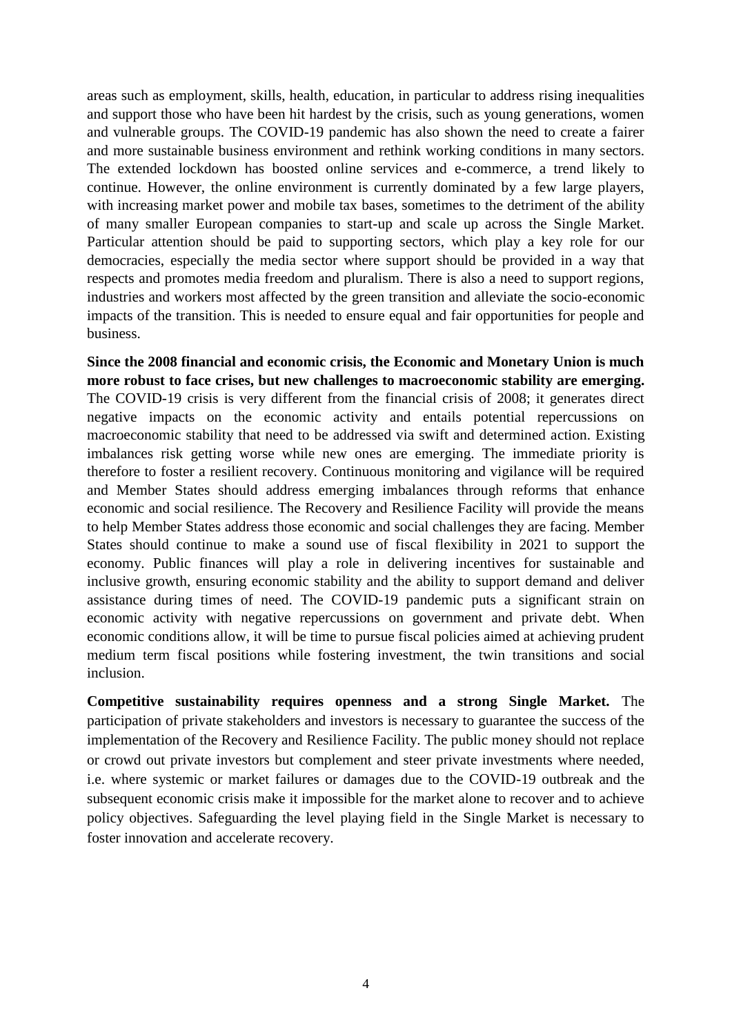areas such as employment, skills, health, education, in particular to address rising inequalities and support those who have been hit hardest by the crisis, such as young generations, women and vulnerable groups. The COVID-19 pandemic has also shown the need to create a fairer and more sustainable business environment and rethink working conditions in many sectors. The extended lockdown has boosted online services and e-commerce, a trend likely to continue. However, the online environment is currently dominated by a few large players, with increasing market power and mobile tax bases, sometimes to the detriment of the ability of many smaller European companies to start-up and scale up across the Single Market. Particular attention should be paid to supporting sectors, which play a key role for our democracies, especially the media sector where support should be provided in a way that respects and promotes media freedom and pluralism. There is also a need to support regions, industries and workers most affected by the green transition and alleviate the socio-economic impacts of the transition. This is needed to ensure equal and fair opportunities for people and business.

**Since the 2008 financial and economic crisis, the Economic and Monetary Union is much more robust to face crises, but new challenges to macroeconomic stability are emerging.** The COVID-19 crisis is very different from the financial crisis of 2008; it generates direct negative impacts on the economic activity and entails potential repercussions on macroeconomic stability that need to be addressed via swift and determined action. Existing imbalances risk getting worse while new ones are emerging. The immediate priority is therefore to foster a resilient recovery. Continuous monitoring and vigilance will be required and Member States should address emerging imbalances through reforms that enhance economic and social resilience. The Recovery and Resilience Facility will provide the means to help Member States address those economic and social challenges they are facing. Member States should continue to make a sound use of fiscal flexibility in 2021 to support the economy. Public finances will play a role in delivering incentives for sustainable and inclusive growth, ensuring economic stability and the ability to support demand and deliver assistance during times of need. The COVID-19 pandemic puts a significant strain on economic activity with negative repercussions on government and private debt. When economic conditions allow, it will be time to pursue fiscal policies aimed at achieving prudent medium term fiscal positions while fostering investment, the twin transitions and social inclusion.

**Competitive sustainability requires openness and a strong Single Market.** The participation of private stakeholders and investors is necessary to guarantee the success of the implementation of the Recovery and Resilience Facility. The public money should not replace or crowd out private investors but complement and steer private investments where needed, i.e. where systemic or market failures or damages due to the COVID-19 outbreak and the subsequent economic crisis make it impossible for the market alone to recover and to achieve policy objectives. Safeguarding the level playing field in the Single Market is necessary to foster innovation and accelerate recovery.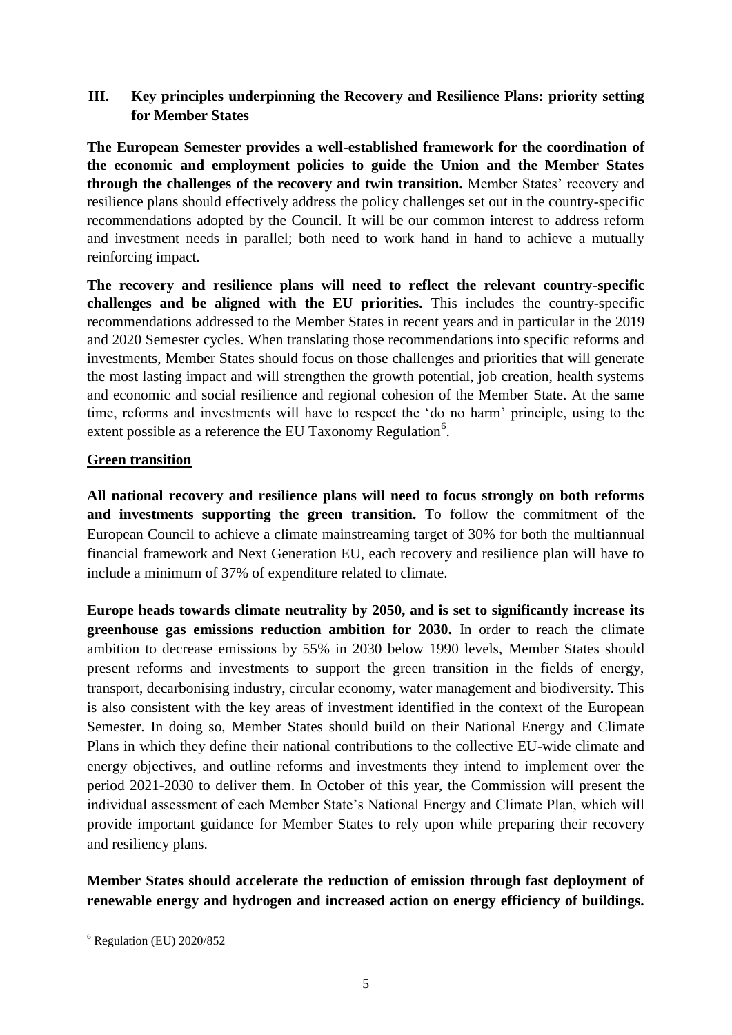# **III. Key principles underpinning the Recovery and Resilience Plans: priority setting for Member States**

**The European Semester provides a well-established framework for the coordination of the economic and employment policies to guide the Union and the Member States through the challenges of the recovery and twin transition.** Member States' recovery and resilience plans should effectively address the policy challenges set out in the country-specific recommendations adopted by the Council. It will be our common interest to address reform and investment needs in parallel; both need to work hand in hand to achieve a mutually reinforcing impact.

**The recovery and resilience plans will need to reflect the relevant country-specific challenges and be aligned with the EU priorities.** This includes the country-specific recommendations addressed to the Member States in recent years and in particular in the 2019 and 2020 Semester cycles. When translating those recommendations into specific reforms and investments, Member States should focus on those challenges and priorities that will generate the most lasting impact and will strengthen the growth potential, job creation, health systems and economic and social resilience and regional cohesion of the Member State. At the same time, reforms and investments will have to respect the 'do no harm' principle, using to the extent possible as a reference the EU Taxonomy Regulation<sup>6</sup>.

## **Green transition**

**All national recovery and resilience plans will need to focus strongly on both reforms and investments supporting the green transition.** To follow the commitment of the European Council to achieve a climate mainstreaming target of 30% for both the multiannual financial framework and Next Generation EU, each recovery and resilience plan will have to include a minimum of 37% of expenditure related to climate.

**Europe heads towards climate neutrality by 2050, and is set to significantly increase its greenhouse gas emissions reduction ambition for 2030.** In order to reach the climate ambition to decrease emissions by 55% in 2030 below 1990 levels, Member States should present reforms and investments to support the green transition in the fields of energy, transport, decarbonising industry, circular economy, water management and biodiversity. This is also consistent with the key areas of investment identified in the context of the European Semester. In doing so, Member States should build on their National Energy and Climate Plans in which they define their national contributions to the collective EU-wide climate and energy objectives, and outline reforms and investments they intend to implement over the period 2021-2030 to deliver them. In October of this year, the Commission will present the individual assessment of each Member State's National Energy and Climate Plan, which will provide important guidance for Member States to rely upon while preparing their recovery and resiliency plans.

**Member States should accelerate the reduction of emission through fast deployment of renewable energy and hydrogen and increased action on energy efficiency of buildings.**

**<sup>.</sup>**  $6$  Regulation (EU) 2020/852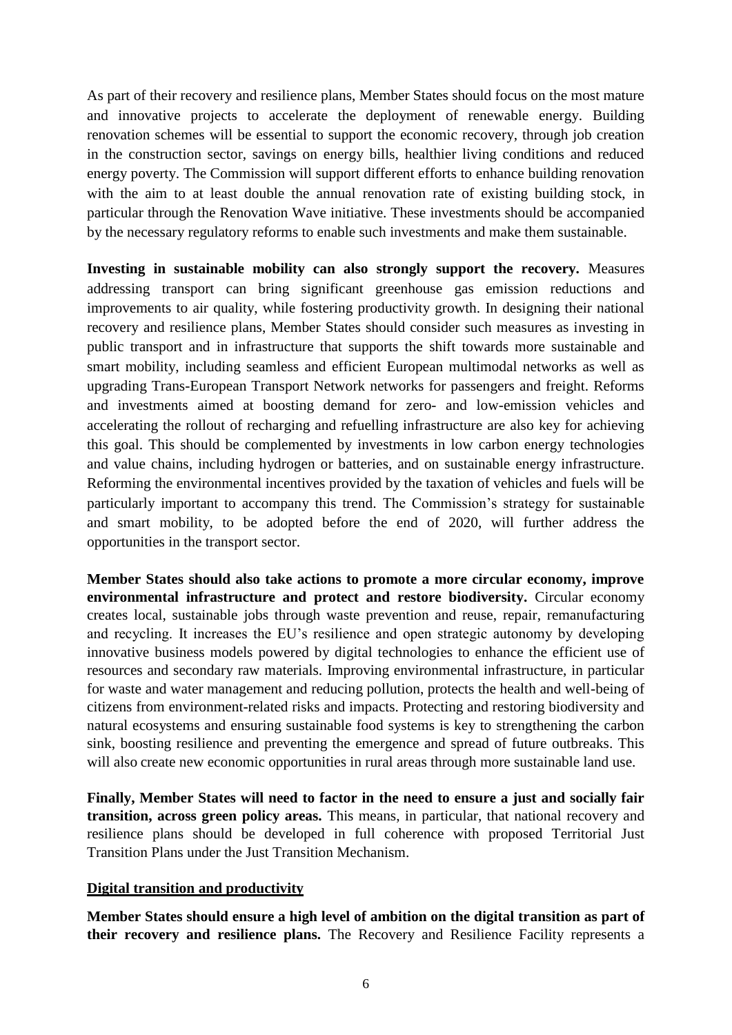As part of their recovery and resilience plans, Member States should focus on the most mature and innovative projects to accelerate the deployment of renewable energy. Building renovation schemes will be essential to support the economic recovery, through job creation in the construction sector, savings on energy bills, healthier living conditions and reduced energy poverty. The Commission will support different efforts to enhance building renovation with the aim to at least double the annual renovation rate of existing building stock, in particular through the Renovation Wave initiative. These investments should be accompanied by the necessary regulatory reforms to enable such investments and make them sustainable.

**Investing in sustainable mobility can also strongly support the recovery.** Measures addressing transport can bring significant greenhouse gas emission reductions and improvements to air quality, while fostering productivity growth. In designing their national recovery and resilience plans, Member States should consider such measures as investing in public transport and in infrastructure that supports the shift towards more sustainable and smart mobility, including seamless and efficient European multimodal networks as well as upgrading Trans-European Transport Network networks for passengers and freight. Reforms and investments aimed at boosting demand for zero- and low-emission vehicles and accelerating the rollout of recharging and refuelling infrastructure are also key for achieving this goal. This should be complemented by investments in low carbon energy technologies and value chains, including hydrogen or batteries, and on sustainable energy infrastructure. Reforming the environmental incentives provided by the taxation of vehicles and fuels will be particularly important to accompany this trend. The Commission's strategy for sustainable and smart mobility, to be adopted before the end of 2020, will further address the opportunities in the transport sector.

**Member States should also take actions to promote a more circular economy, improve environmental infrastructure and protect and restore biodiversity.** Circular economy creates local, sustainable jobs through waste prevention and reuse, repair, remanufacturing and recycling. It increases the EU's resilience and open strategic autonomy by developing innovative business models powered by digital technologies to enhance the efficient use of resources and secondary raw materials. Improving environmental infrastructure, in particular for waste and water management and reducing pollution, protects the health and well-being of citizens from environment-related risks and impacts. Protecting and restoring biodiversity and natural ecosystems and ensuring sustainable food systems is key to strengthening the carbon sink, boosting resilience and preventing the emergence and spread of future outbreaks. This will also create new economic opportunities in rural areas through more sustainable land use.

**Finally, Member States will need to factor in the need to ensure a just and socially fair transition, across green policy areas.** This means, in particular, that national recovery and resilience plans should be developed in full coherence with proposed Territorial Just Transition Plans under the Just Transition Mechanism.

#### **Digital transition and productivity**

**Member States should ensure a high level of ambition on the digital transition as part of their recovery and resilience plans.** The Recovery and Resilience Facility represents a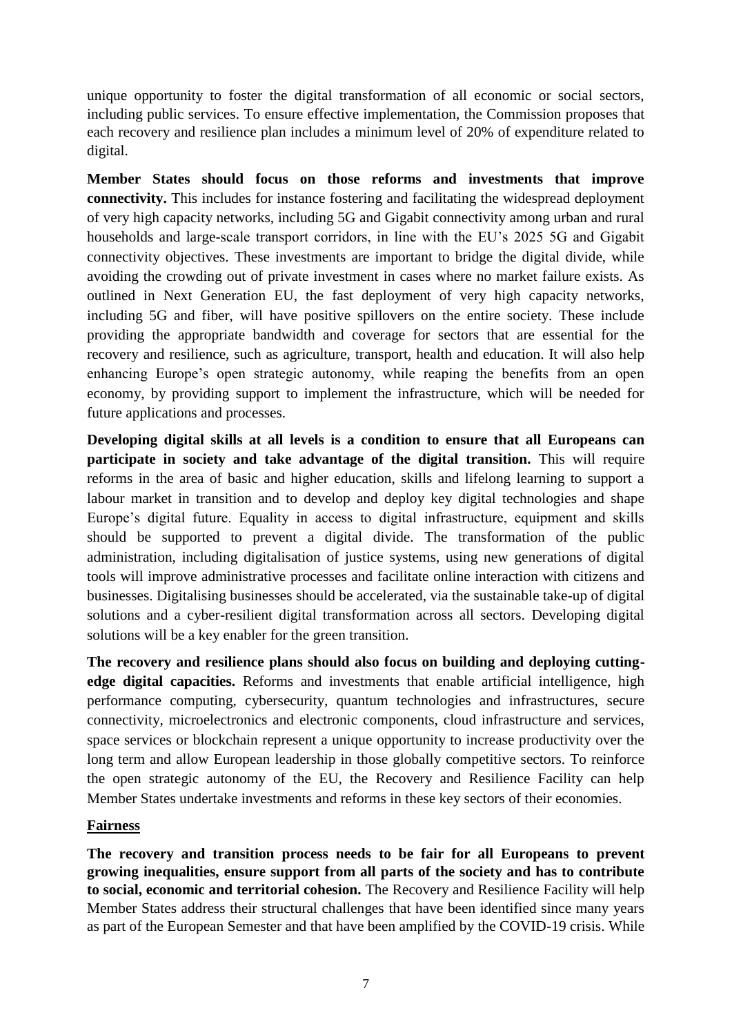unique opportunity to foster the digital transformation of all economic or social sectors, including public services. To ensure effective implementation, the Commission proposes that each recovery and resilience plan includes a minimum level of 20% of expenditure related to digital.

**Member States should focus on those reforms and investments that improve connectivity.** This includes for instance fostering and facilitating the widespread deployment of very high capacity networks, including 5G and Gigabit connectivity among urban and rural households and large-scale transport corridors, in line with the EU's 2025 5G and Gigabit connectivity objectives. These investments are important to bridge the digital divide, while avoiding the crowding out of private investment in cases where no market failure exists. As outlined in Next Generation EU, the fast deployment of very high capacity networks, including 5G and fiber, will have positive spillovers on the entire society. These include providing the appropriate bandwidth and coverage for sectors that are essential for the recovery and resilience, such as agriculture, transport, health and education. It will also help enhancing Europe's open strategic autonomy, while reaping the benefits from an open economy, by providing support to implement the infrastructure, which will be needed for future applications and processes.

**Developing digital skills at all levels is a condition to ensure that all Europeans can participate in society and take advantage of the digital transition.** This will require reforms in the area of basic and higher education, skills and lifelong learning to support a labour market in transition and to develop and deploy key digital technologies and shape Europe's digital future. Equality in access to digital infrastructure, equipment and skills should be supported to prevent a digital divide. The transformation of the public administration, including digitalisation of justice systems, using new generations of digital tools will improve administrative processes and facilitate online interaction with citizens and businesses. Digitalising businesses should be accelerated, via the sustainable take-up of digital solutions and a cyber-resilient digital transformation across all sectors. Developing digital solutions will be a key enabler for the green transition.

**The recovery and resilience plans should also focus on building and deploying cuttingedge digital capacities.** Reforms and investments that enable artificial intelligence, high performance computing, cybersecurity, quantum technologies and infrastructures, secure connectivity, microelectronics and electronic components, cloud infrastructure and services, space services or blockchain represent a unique opportunity to increase productivity over the long term and allow European leadership in those globally competitive sectors. To reinforce the open strategic autonomy of the EU, the Recovery and Resilience Facility can help Member States undertake investments and reforms in these key sectors of their economies.

#### **Fairness**

**The recovery and transition process needs to be fair for all Europeans to prevent growing inequalities, ensure support from all parts of the society and has to contribute to social, economic and territorial cohesion.** The Recovery and Resilience Facility will help Member States address their structural challenges that have been identified since many years as part of the European Semester and that have been amplified by the COVID-19 crisis. While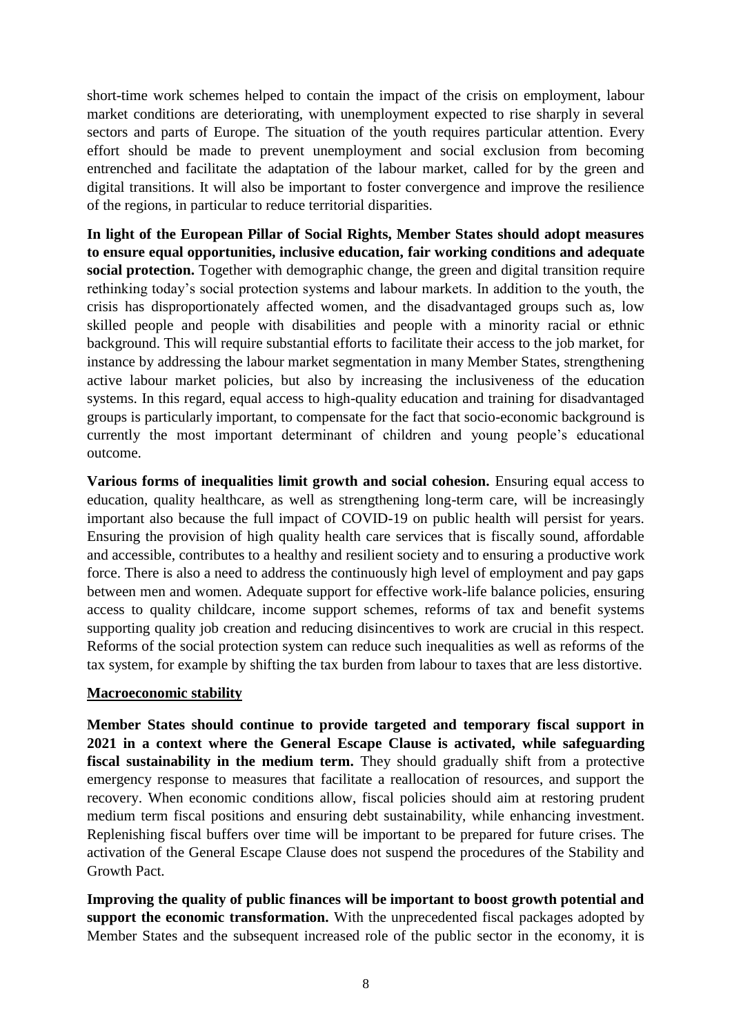short-time work schemes helped to contain the impact of the crisis on employment, labour market conditions are deteriorating, with unemployment expected to rise sharply in several sectors and parts of Europe. The situation of the youth requires particular attention. Every effort should be made to prevent unemployment and social exclusion from becoming entrenched and facilitate the adaptation of the labour market, called for by the green and digital transitions. It will also be important to foster convergence and improve the resilience of the regions, in particular to reduce territorial disparities.

**In light of the European Pillar of Social Rights, Member States should adopt measures to ensure equal opportunities, inclusive education, fair working conditions and adequate social protection.** Together with demographic change, the green and digital transition require rethinking today's social protection systems and labour markets. In addition to the youth, the crisis has disproportionately affected women, and the disadvantaged groups such as, low skilled people and people with disabilities and people with a minority racial or ethnic background. This will require substantial efforts to facilitate their access to the job market, for instance by addressing the labour market segmentation in many Member States, strengthening active labour market policies, but also by increasing the inclusiveness of the education systems. In this regard, equal access to high-quality education and training for disadvantaged groups is particularly important, to compensate for the fact that socio-economic background is currently the most important determinant of children and young people's educational outcome.

**Various forms of inequalities limit growth and social cohesion.** Ensuring equal access to education, quality healthcare, as well as strengthening long-term care, will be increasingly important also because the full impact of COVID-19 on public health will persist for years. Ensuring the provision of high quality health care services that is fiscally sound, affordable and accessible, contributes to a healthy and resilient society and to ensuring a productive work force. There is also a need to address the continuously high level of employment and pay gaps between men and women. Adequate support for effective work-life balance policies, ensuring access to quality childcare, income support schemes, reforms of tax and benefit systems supporting quality job creation and reducing disincentives to work are crucial in this respect. Reforms of the social protection system can reduce such inequalities as well as reforms of the tax system, for example by shifting the tax burden from labour to taxes that are less distortive.

#### **Macroeconomic stability**

**Member States should continue to provide targeted and temporary fiscal support in 2021 in a context where the General Escape Clause is activated, while safeguarding fiscal sustainability in the medium term.** They should gradually shift from a protective emergency response to measures that facilitate a reallocation of resources, and support the recovery. When economic conditions allow, fiscal policies should aim at restoring prudent medium term fiscal positions and ensuring debt sustainability, while enhancing investment. Replenishing fiscal buffers over time will be important to be prepared for future crises. The activation of the General Escape Clause does not suspend the procedures of the Stability and Growth Pact.

**Improving the quality of public finances will be important to boost growth potential and support the economic transformation.** With the unprecedented fiscal packages adopted by Member States and the subsequent increased role of the public sector in the economy, it is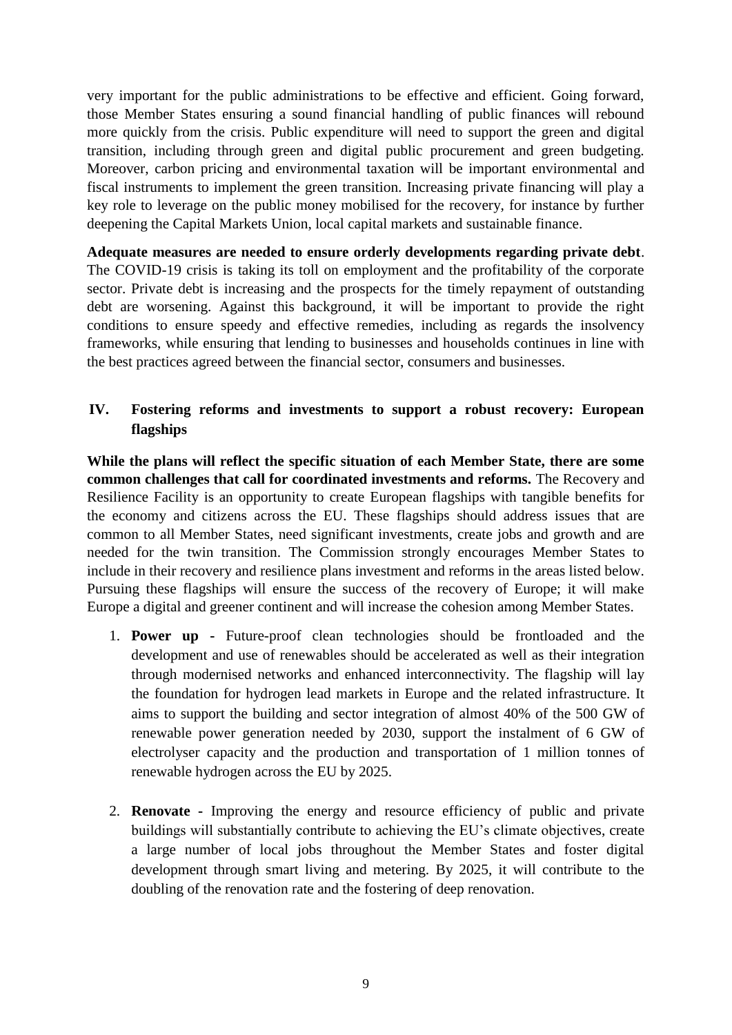very important for the public administrations to be effective and efficient. Going forward, those Member States ensuring a sound financial handling of public finances will rebound more quickly from the crisis. Public expenditure will need to support the green and digital transition, including through green and digital public procurement and green budgeting. Moreover, carbon pricing and environmental taxation will be important environmental and fiscal instruments to implement the green transition. Increasing private financing will play a key role to leverage on the public money mobilised for the recovery, for instance by further deepening the Capital Markets Union, local capital markets and sustainable finance.

**Adequate measures are needed to ensure orderly developments regarding private debt**. The COVID-19 crisis is taking its toll on employment and the profitability of the corporate sector. Private debt is increasing and the prospects for the timely repayment of outstanding debt are worsening. Against this background, it will be important to provide the right conditions to ensure speedy and effective remedies, including as regards the insolvency frameworks, while ensuring that lending to businesses and households continues in line with the best practices agreed between the financial sector, consumers and businesses.

# **IV. Fostering reforms and investments to support a robust recovery: European flagships**

**While the plans will reflect the specific situation of each Member State, there are some common challenges that call for coordinated investments and reforms.** The Recovery and Resilience Facility is an opportunity to create European flagships with tangible benefits for the economy and citizens across the EU. These flagships should address issues that are common to all Member States, need significant investments, create jobs and growth and are needed for the twin transition. The Commission strongly encourages Member States to include in their recovery and resilience plans investment and reforms in the areas listed below. Pursuing these flagships will ensure the success of the recovery of Europe; it will make Europe a digital and greener continent and will increase the cohesion among Member States.

- 1. **Power up -** Future-proof clean technologies should be frontloaded and the development and use of renewables should be accelerated as well as their integration through modernised networks and enhanced interconnectivity. The flagship will lay the foundation for hydrogen lead markets in Europe and the related infrastructure. It aims to support the building and sector integration of almost 40% of the 500 GW of renewable power generation needed by 2030, support the instalment of 6 GW of electrolyser capacity and the production and transportation of 1 million tonnes of renewable hydrogen across the EU by 2025.
- 2. **Renovate -** Improving the energy and resource efficiency of public and private buildings will substantially contribute to achieving the EU's climate objectives, create a large number of local jobs throughout the Member States and foster digital development through smart living and metering. By 2025, it will contribute to the doubling of the renovation rate and the fostering of deep renovation.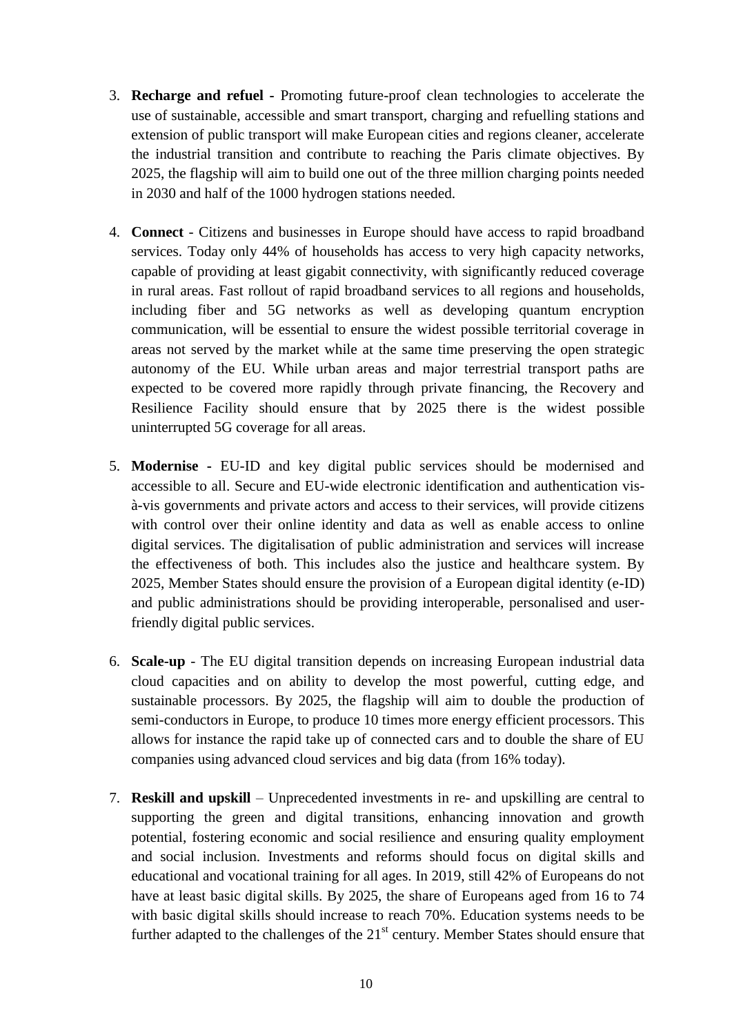- 3. **Recharge and refuel -** Promoting future-proof clean technologies to accelerate the use of sustainable, accessible and smart transport, charging and refuelling stations and extension of public transport will make European cities and regions cleaner, accelerate the industrial transition and contribute to reaching the Paris climate objectives. By 2025, the flagship will aim to build one out of the three million charging points needed in 2030 and half of the 1000 hydrogen stations needed.
- 4. **Connect**  Citizens and businesses in Europe should have access to rapid broadband services. Today only 44% of households has access to very high capacity networks, capable of providing at least gigabit connectivity, with significantly reduced coverage in rural areas. Fast rollout of rapid broadband services to all regions and households, including fiber and 5G networks as well as developing quantum encryption communication, will be essential to ensure the widest possible territorial coverage in areas not served by the market while at the same time preserving the open strategic autonomy of the EU. While urban areas and major terrestrial transport paths are expected to be covered more rapidly through private financing, the Recovery and Resilience Facility should ensure that by 2025 there is the widest possible uninterrupted 5G coverage for all areas.
- 5. **Modernise -** EU-ID and key digital public services should be modernised and accessible to all. Secure and EU-wide electronic identification and authentication visà-vis governments and private actors and access to their services, will provide citizens with control over their online identity and data as well as enable access to online digital services. The digitalisation of public administration and services will increase the effectiveness of both. This includes also the justice and healthcare system. By 2025, Member States should ensure the provision of a European digital identity (e-ID) and public administrations should be providing interoperable, personalised and userfriendly digital public services.
- 6. **Scale-up** The EU digital transition depends on increasing European industrial data cloud capacities and on ability to develop the most powerful, cutting edge, and sustainable processors. By 2025, the flagship will aim to double the production of semi-conductors in Europe, to produce 10 times more energy efficient processors. This allows for instance the rapid take up of connected cars and to double the share of EU companies using advanced cloud services and big data (from 16% today).
- 7. **Reskill and upskill**  Unprecedented investments in re- and upskilling are central to supporting the green and digital transitions, enhancing innovation and growth potential, fostering economic and social resilience and ensuring quality employment and social inclusion. Investments and reforms should focus on digital skills and educational and vocational training for all ages. In 2019, still 42% of Europeans do not have at least basic digital skills. By 2025, the share of Europeans aged from 16 to 74 with basic digital skills should increase to reach 70%. Education systems needs to be further adapted to the challenges of the  $21<sup>st</sup>$  century. Member States should ensure that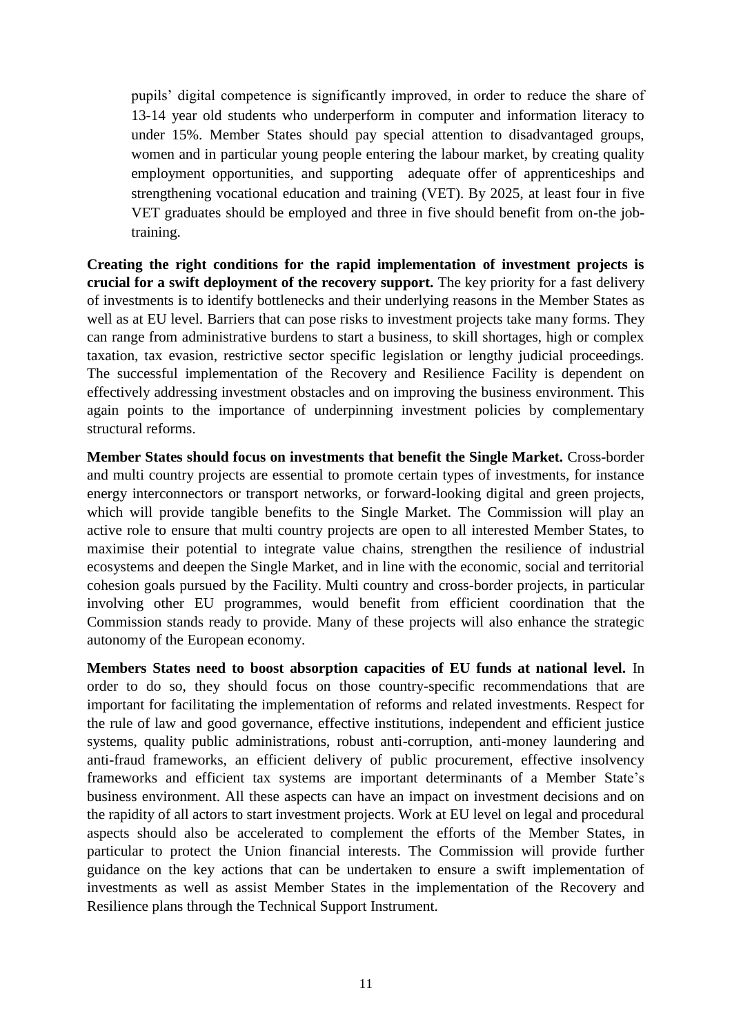pupils' digital competence is significantly improved, in order to reduce the share of 13-14 year old students who underperform in computer and information literacy to under 15%. Member States should pay special attention to disadvantaged groups, women and in particular young people entering the labour market, by creating quality employment opportunities, and supporting adequate offer of apprenticeships and strengthening vocational education and training (VET). By 2025, at least four in five VET graduates should be employed and three in five should benefit from on-the jobtraining.

**Creating the right conditions for the rapid implementation of investment projects is crucial for a swift deployment of the recovery support.** The key priority for a fast delivery of investments is to identify bottlenecks and their underlying reasons in the Member States as well as at EU level. Barriers that can pose risks to investment projects take many forms. They can range from administrative burdens to start a business, to skill shortages, high or complex taxation, tax evasion, restrictive sector specific legislation or lengthy judicial proceedings. The successful implementation of the Recovery and Resilience Facility is dependent on effectively addressing investment obstacles and on improving the business environment. This again points to the importance of underpinning investment policies by complementary structural reforms.

**Member States should focus on investments that benefit the Single Market.** Cross-border and multi country projects are essential to promote certain types of investments, for instance energy interconnectors or transport networks, or forward-looking digital and green projects, which will provide tangible benefits to the Single Market. The Commission will play an active role to ensure that multi country projects are open to all interested Member States, to maximise their potential to integrate value chains, strengthen the resilience of industrial ecosystems and deepen the Single Market, and in line with the economic, social and territorial cohesion goals pursued by the Facility. Multi country and cross-border projects, in particular involving other EU programmes, would benefit from efficient coordination that the Commission stands ready to provide. Many of these projects will also enhance the strategic autonomy of the European economy.

**Members States need to boost absorption capacities of EU funds at national level.** In order to do so, they should focus on those country-specific recommendations that are important for facilitating the implementation of reforms and related investments. Respect for the rule of law and good governance, effective institutions, independent and efficient justice systems, quality public administrations, robust anti-corruption, anti-money laundering and anti-fraud frameworks, an efficient delivery of public procurement, effective insolvency frameworks and efficient tax systems are important determinants of a Member State's business environment. All these aspects can have an impact on investment decisions and on the rapidity of all actors to start investment projects. Work at EU level on legal and procedural aspects should also be accelerated to complement the efforts of the Member States, in particular to protect the Union financial interests. The Commission will provide further guidance on the key actions that can be undertaken to ensure a swift implementation of investments as well as assist Member States in the implementation of the Recovery and Resilience plans through the Technical Support Instrument.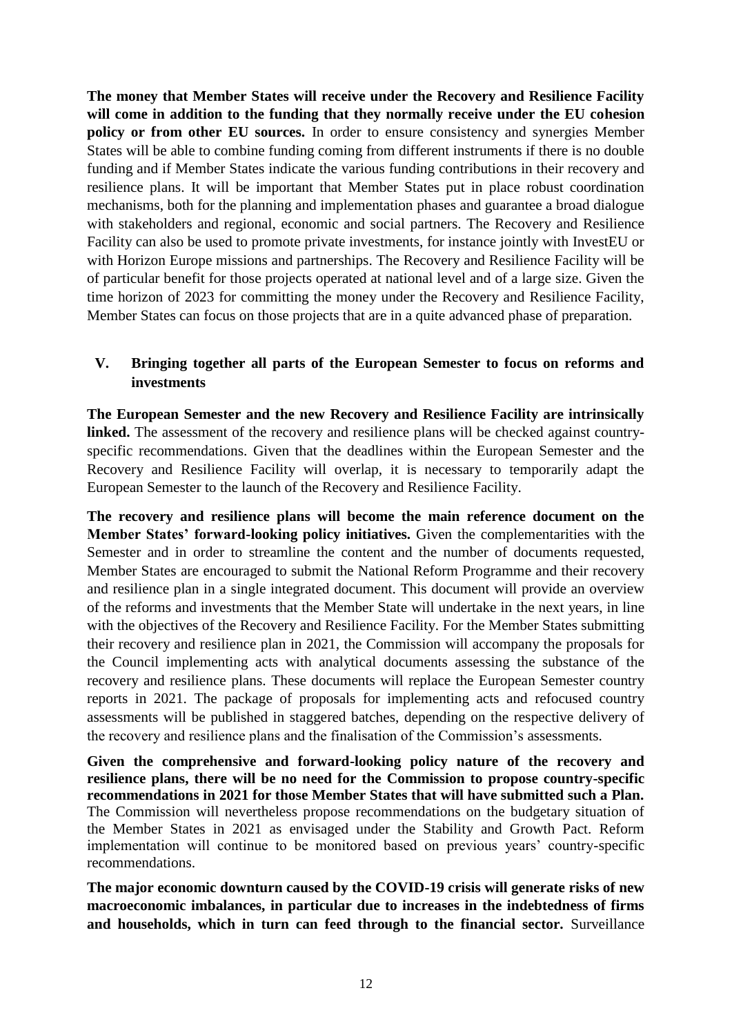**The money that Member States will receive under the Recovery and Resilience Facility will come in addition to the funding that they normally receive under the EU cohesion policy or from other EU sources.** In order to ensure consistency and synergies Member States will be able to combine funding coming from different instruments if there is no double funding and if Member States indicate the various funding contributions in their recovery and resilience plans. It will be important that Member States put in place robust coordination mechanisms, both for the planning and implementation phases and guarantee a broad dialogue with stakeholders and regional, economic and social partners. The Recovery and Resilience Facility can also be used to promote private investments, for instance jointly with InvestEU or with Horizon Europe missions and partnerships. The Recovery and Resilience Facility will be of particular benefit for those projects operated at national level and of a large size. Given the time horizon of 2023 for committing the money under the Recovery and Resilience Facility, Member States can focus on those projects that are in a quite advanced phase of preparation.

### **V. Bringing together all parts of the European Semester to focus on reforms and investments**

**The European Semester and the new Recovery and Resilience Facility are intrinsically linked.** The assessment of the recovery and resilience plans will be checked against countryspecific recommendations. Given that the deadlines within the European Semester and the Recovery and Resilience Facility will overlap, it is necessary to temporarily adapt the European Semester to the launch of the Recovery and Resilience Facility.

**The recovery and resilience plans will become the main reference document on the Member States' forward-looking policy initiatives.** Given the complementarities with the Semester and in order to streamline the content and the number of documents requested, Member States are encouraged to submit the National Reform Programme and their recovery and resilience plan in a single integrated document. This document will provide an overview of the reforms and investments that the Member State will undertake in the next years, in line with the objectives of the Recovery and Resilience Facility. For the Member States submitting their recovery and resilience plan in 2021, the Commission will accompany the proposals for the Council implementing acts with analytical documents assessing the substance of the recovery and resilience plans. These documents will replace the European Semester country reports in 2021. The package of proposals for implementing acts and refocused country assessments will be published in staggered batches, depending on the respective delivery of the recovery and resilience plans and the finalisation of the Commission's assessments.

**Given the comprehensive and forward-looking policy nature of the recovery and resilience plans, there will be no need for the Commission to propose country-specific recommendations in 2021 for those Member States that will have submitted such a Plan.** The Commission will nevertheless propose recommendations on the budgetary situation of the Member States in 2021 as envisaged under the Stability and Growth Pact. Reform implementation will continue to be monitored based on previous years' country-specific recommendations.

**The major economic downturn caused by the COVID-19 crisis will generate risks of new macroeconomic imbalances, in particular due to increases in the indebtedness of firms and households, which in turn can feed through to the financial sector.** Surveillance